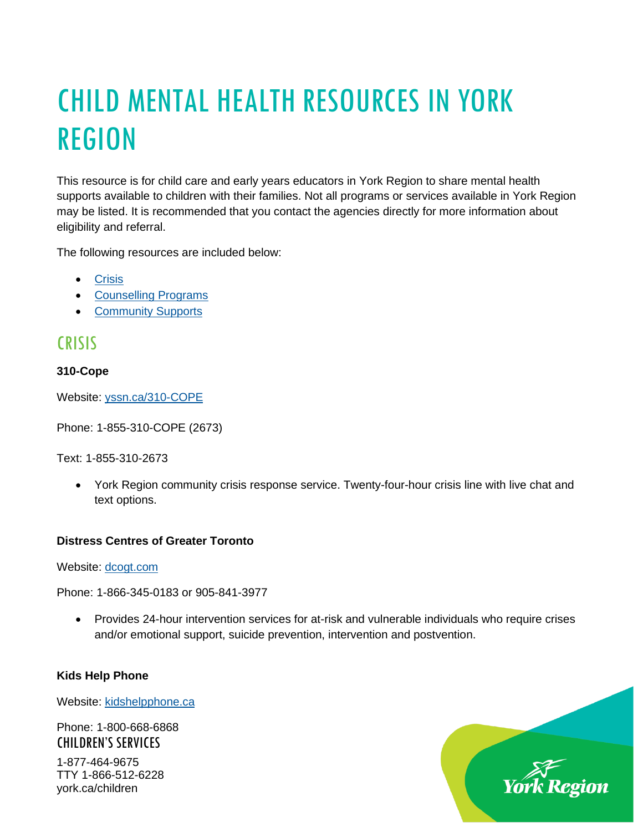# CHILD MENTAL HEALTH RESOURCES IN YORK REGION

This resource is for child care and early years educators in York Region to share mental health supports available to children with their families. Not all programs or services available in York Region may be listed. It is recommended that you contact the agencies directly for more information about eligibility and referral.

The following resources are included below:

- [Crisis](#page-2-0)
- [Counselling Programs](#page-2-0)
- [Community Supports](#page-6-0)

# **CRISIS**

# **310-Cope**

Website: [yssn.ca/310-COPE](https://www.yssn.ca/310-COPE)

Phone: 1-855-310-COPE (2673)

Text: 1-855-310-2673

• York Region community crisis response service. Twenty-four-hour crisis line with live chat and text options.

# **Distress Centres of Greater Toronto**

Website: [dcogt.com](https://www.dcogt.com/)

Phone: 1-866-345-0183 or 905-841-3977

• Provides 24-hour intervention services for at-risk and vulnerable individuals who require crises and/or emotional support, suicide prevention, intervention and postvention.

#### **Kids Help Phone**

york.ca/children

Website: [kidshelpphone.ca](https://kidshelpphone.ca/)

CHILDREN'S SERVICES 1-877-464-9675 TTY 1-866-512-6228 Phone: 1-800-668-6868 Region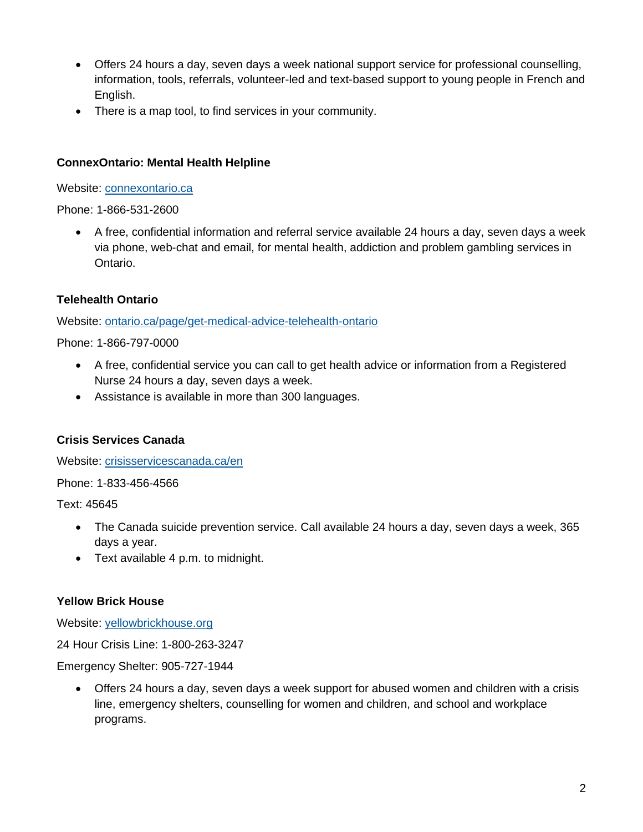- Offers 24 hours a day, seven days a week national support service for professional counselling, information, tools, referrals, volunteer-led and text-based support to young people in French and English.
- There is a map tool, to find services in your community.

### **ConnexOntario: Mental Health Helpline**

Website: [connexontario.ca](http://www.connexontario.ca/)

Phone: 1-866-531-2600

• A free, confidential information and referral service available 24 hours a day, seven days a week via phone, web-chat and email, for mental health, addiction and problem gambling services in Ontario.

### **Telehealth Ontario**

Website: [ontario.ca/page/get-medical-advice-telehealth-ontario](https://www.ontario.ca/page/get-medical-advice-telehealth-ontario)

Phone: 1-866-797-0000

- A free, confidential service you can call to get health advice or information from a Registered Nurse 24 hours a day, seven days a week.
- Assistance is available in more than 300 languages.

#### **Crisis Services Canada**

Website: [crisisservicescanada.ca/en](https://www.crisisservicescanada.ca/en/)

Phone: 1-833-456-4566

Text: 45645

- The Canada suicide prevention service. Call available 24 hours a day, seven days a week, 365 days a year.
- Text available 4 p.m. to midnight.

#### **Yellow Brick House**

Website: [yellowbrickhouse.org](https://www.yellowbrickhouse.org/)

24 Hour Crisis Line: 1-800-263-3247

Emergency Shelter: 905-727-1944

• Offers 24 hours a day, seven days a week support for abused women and children with a crisis line, emergency shelters, counselling for women and children, and school and workplace programs.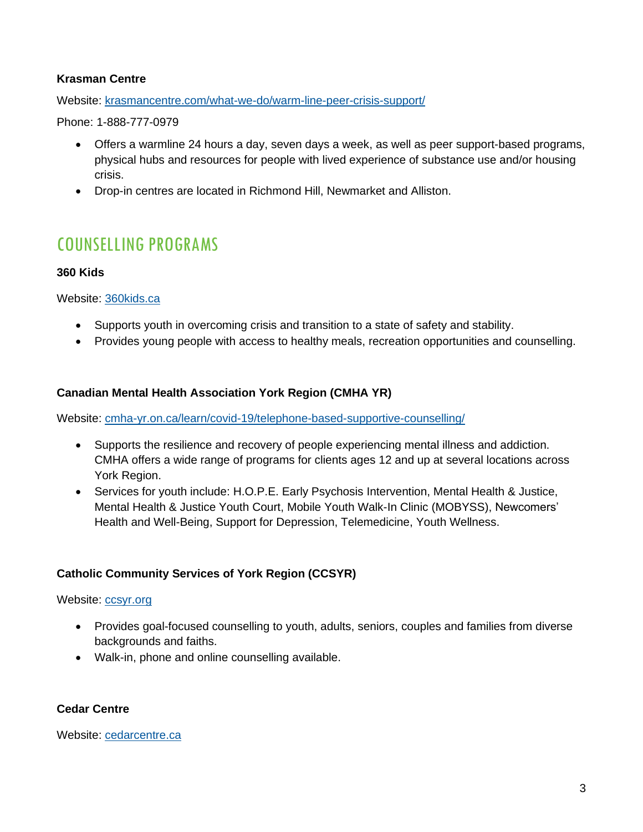## **Krasman Centre**

Website: [krasmancentre.com/what-we-do/warm-line-peer-crisis-support/](https://krasmancentre.com/what-we-do/warm-line-peer-crisis-support/)

Phone: 1-888-777-0979

- Offers a warmline 24 hours a day, seven days a week, as well as peer support-based programs, physical hubs and resources for people with lived experience of substance use and/or housing crisis.
- Drop-in centres are located in Richmond Hill, Newmarket and Alliston.

# <span id="page-2-0"></span>COUNSELLING PROGRAMS

#### **360 Kids**

Website: [360kids.ca](https://www.360kids.ca/)

- Supports youth in overcoming crisis and transition to a state of safety and stability.
- Provides young people with access to healthy meals, recreation opportunities and counselling.

### **Canadian Mental Health Association York Region (CMHA YR)**

Website: [cmha-yr.on.ca/learn/covid-19/telephone-based-supportive-counselling/](https://cmha-yr.on.ca/learn/covid-19/telephone-based-supportive-counselling/)

- Supports the resilience and recovery of people experiencing mental illness and addiction. CMHA offers a wide range of programs for clients ages 12 and up at several locations across York Region.
- Services for youth include: H.O.P.E. Early Psychosis Intervention, Mental Health & Justice, Mental Health & Justice Youth Court, Mobile Youth Walk-In Clinic (MOBYSS), Newcomers' Health and Well-Being, Support for Depression, Telemedicine, Youth Wellness.

# **Catholic Community Services of York Region (CCSYR)**

#### Website: [ccsyr.org](http://www.ccsyr.org/)

- Provides goal-focused counselling to youth, adults, seniors, couples and families from diverse backgrounds and faiths.
- Walk-in, phone and online counselling available.

#### **Cedar Centre**

Website: [cedarcentre.ca](http://www.cedarcentre.ca/)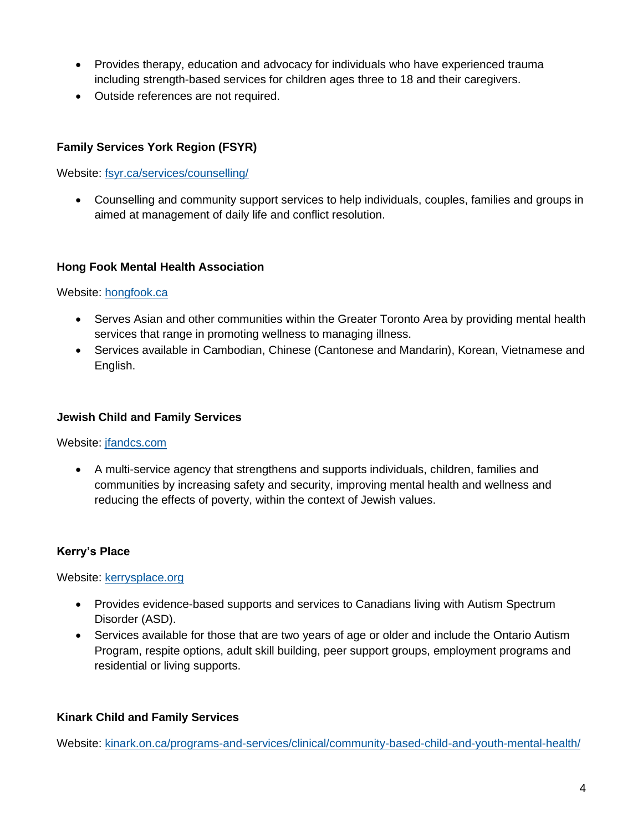- Provides therapy, education and advocacy for individuals who have experienced trauma including strength-based services for children ages three to 18 and their caregivers.
- Outside references are not required.

# **Family Services York Region (FSYR)**

Website: [fsyr.ca/services/counselling/](http://www.fsyr.ca/services/counselling/)

• Counselling and community support services to help individuals, couples, families and groups in aimed at management of daily life and conflict resolution.

#### **Hong Fook Mental Health Association**

#### Website: [hongfook.ca](http://www.hongfook.ca/)

- Serves Asian and other communities within the Greater Toronto Area by providing mental health services that range in promoting wellness to managing illness.
- Services available in Cambodian, Chinese (Cantonese and Mandarin), Korean, Vietnamese and English.

#### **Jewish Child and Family Services**

Website: [jfandcs.com](http://www.jfandcs.com/)

• A multi-service agency that strengthens and supports individuals, children, families and communities by increasing safety and security, improving mental health and wellness and reducing the effects of poverty, within the context of Jewish values.

#### **Kerry's Place**

Website: [kerrysplace.org](https://www.kerrysplace.org/)

- Provides evidence-based supports and services to Canadians living with Autism Spectrum Disorder (ASD).
- Services available for those that are two years of age or older and include the Ontario Autism Program, respite options, adult skill building, peer support groups, employment programs and residential or living supports.

#### **Kinark Child and Family Services**

Website: [kinark.on.ca/programs-and-services/clinical/community-based-child-and-youth-mental-health/](https://www.kinark.on.ca/programs-and-services/clinical/community-based-child-and-youth-mental-health/)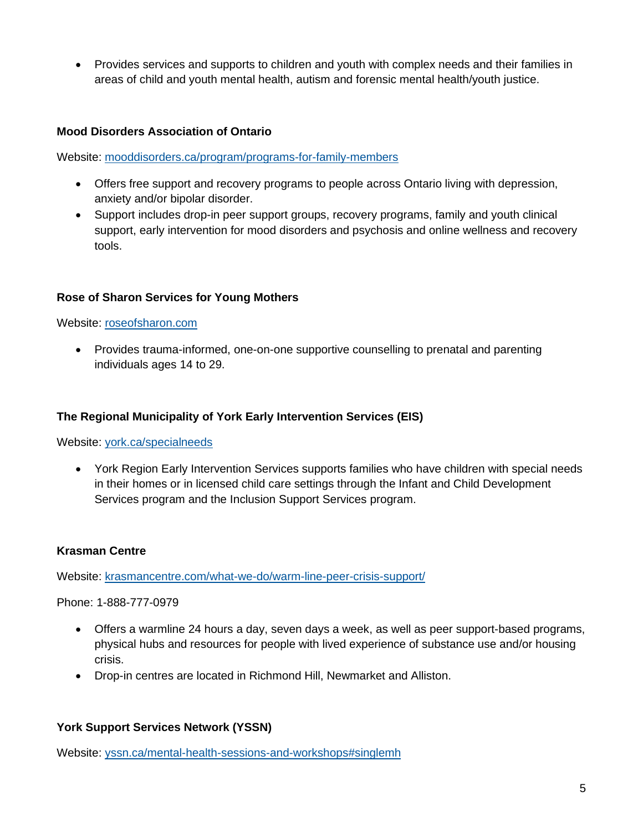• Provides services and supports to children and youth with complex needs and their families in areas of child and youth mental health, autism and forensic mental health/youth justice.

#### **Mood Disorders Association of Ontario**

Website: [mooddisorders.ca/program/programs-for-family-members](https://mooddisorders.ca/program/programs-for-family-members)

- Offers free support and recovery programs to people across Ontario living with depression, anxiety and/or bipolar disorder.
- Support includes drop-in peer support groups, recovery programs, family and youth clinical support, early intervention for mood disorders and psychosis and online wellness and recovery tools.

### **Rose of Sharon Services for Young Mothers**

Website: [roseofsharon.com](https://roseofsharon.com/)

• Provides trauma-informed, one-on-one supportive counselling to prenatal and parenting individuals ages 14 to 29.

#### **The Regional Municipality of York Early Intervention Services (EIS)**

Website: [york.ca/specialneeds](https://www.york.ca/specialneeds)

• York Region Early Intervention Services supports families who have children with special needs in their homes or in licensed child care settings through the Infant and Child Development Services program and the Inclusion Support Services program.

#### **Krasman Centre**

Website: [krasmancentre.com/what-we-do/warm-line-peer-crisis-support/](https://krasmancentre.com/what-we-do/warm-line-peer-crisis-support/)

Phone: 1-888-777-0979

- Offers a warmline 24 hours a day, seven days a week, as well as peer support-based programs, physical hubs and resources for people with lived experience of substance use and/or housing crisis.
- Drop-in centres are located in Richmond Hill, Newmarket and Alliston.

#### **York Support Services Network (YSSN)**

Website: [yssn.ca/mental-health-sessions-and-workshops#singlemh](https://www.yssn.ca/mental-health-sessions-and-workshops#singlemh)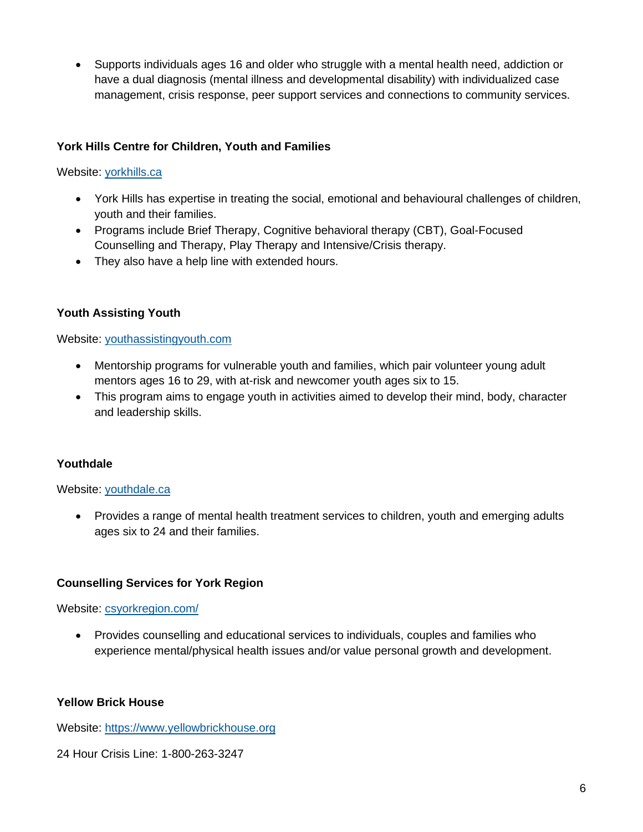• Supports individuals ages 16 and older who struggle with a mental health need, addiction or have a dual diagnosis (mental illness and developmental disability) with individualized case management, crisis response, peer support services and connections to community services.

# **York Hills Centre for Children, Youth and Families**

## Website: [yorkhills.ca](https://www.yorkhills.ca/)

- York Hills has expertise in treating the social, emotional and behavioural challenges of children, youth and their families.
- Programs include Brief Therapy, Cognitive behavioral therapy (CBT), Goal-Focused Counselling and Therapy, Play Therapy and Intensive/Crisis therapy.
- They also have a help line with extended hours.

# **Youth Assisting Youth**

Website: [youthassistingyouth.com](https://youthassistingyouth.com/)

- Mentorship programs for vulnerable youth and families, which pair volunteer young adult mentors ages 16 to 29, with at-risk and newcomer youth ages six to 15.
- This program aims to engage youth in activities aimed to develop their mind, body, character and leadership skills.

# **Youthdale**

#### Website: [youthdale.ca](https://www.youthdale.ca/)

• Provides a range of mental health treatment services to children, youth and emerging adults ages six to 24 and their families.

#### **Counselling Services for York Region**

Website: [csyorkregion.com/](https://csyorkregion.com/)

• Provides counselling and educational services to individuals, couples and families who experience mental/physical health issues and/or value personal growth and development.

#### **Yellow Brick House**

Website: [https://www.yellowbrickhouse.org](https://www.yellowbrickhouse.org/)

24 Hour Crisis Line: 1-800-263-3247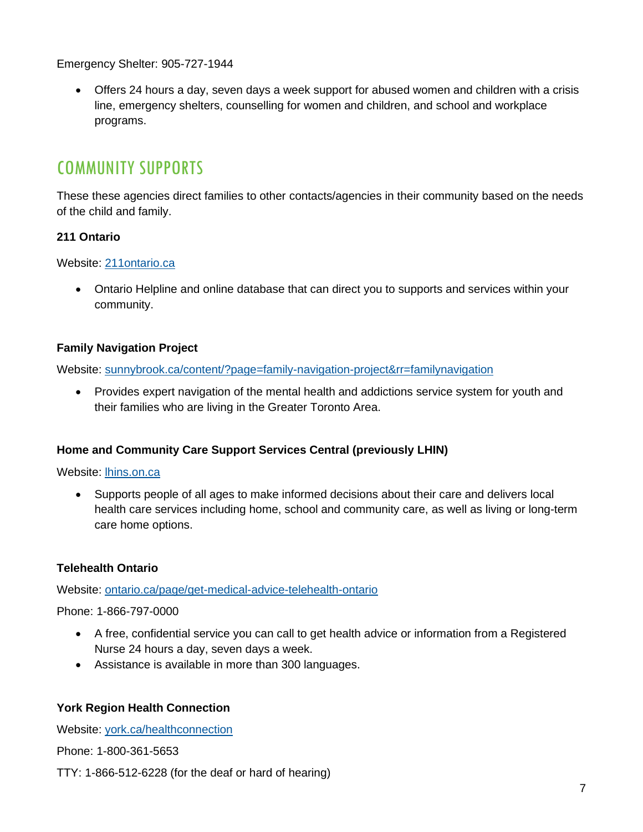Emergency Shelter: 905-727-1944

• Offers 24 hours a day, seven days a week support for abused women and children with a crisis line, emergency shelters, counselling for women and children, and school and workplace programs.

# <span id="page-6-0"></span>COMMUNITY SUPPORTS

These these agencies direct families to other contacts/agencies in their community based on the needs of the child and family.

# **211 Ontario**

Website: [211ontario.ca](https://211ontario.ca/)

• Ontario Helpline and online database that can direct you to supports and services within your community.

# **Family Navigation Project**

Website: [sunnybrook.ca/content/?page=family-navigation-project&rr=familynavigation](https://sunnybrook.ca/content/?page=family-navigation-project&rr=familynavigation)

• Provides expert navigation of the mental health and addictions service system for youth and their families who are living in the Greater Toronto Area.

# **Home and Community Care Support Services Central (previously LHIN)**

Website: [lhins.on.ca](http://www.lhins.on.ca/)

• Supports people of all ages to make informed decisions about their care and delivers local health care services including home, school and community care, as well as living or long-term care home options.

# **Telehealth Ontario**

Website: [ontario.ca/page/get-medical-advice-telehealth-ontario](https://www.ontario.ca/page/get-medical-advice-telehealth-ontario)

Phone: 1-866-797-0000

- A free, confidential service you can call to get health advice or information from a Registered Nurse 24 hours a day, seven days a week.
- Assistance is available in more than 300 languages.

# **York Region Health Connection**

Website: [york.ca/healthconnection](https://www.york.ca/healthconnection)

Phone: 1-800-361-5653

TTY: 1-866-512-6228 (for the deaf or hard of hearing)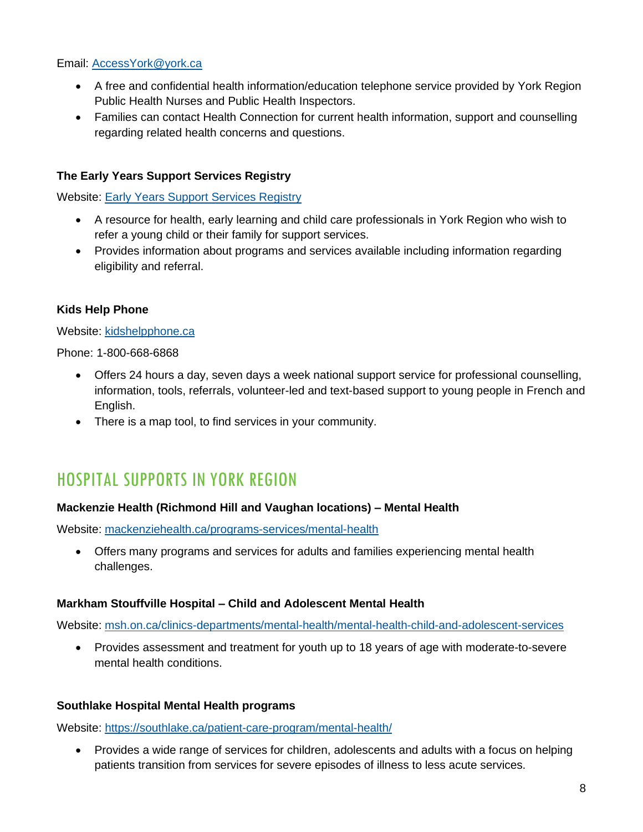## Email: [AccessYork@york.ca](mailto:AccessYork@york.ca)

- A free and confidential health information/education telephone service provided by York Region Public Health Nurses and Public Health Inspectors.
- Families can contact Health Connection for current health information, support and counselling regarding related health concerns and questions.

# **The Early Years Support Services Registry**

Website: [Early Years Support Services Registry](https://www.york.ca/wps/portal/yorkhome/support/yr/childrensservices/earlyyearssupportservicesregistry/)

- A resource for health, early learning and child care professionals in York Region who wish to refer a young child or their family for support services.
- Provides information about programs and services available including information regarding eligibility and referral.

# **Kids Help Phone**

Website: [kidshelpphone.ca](https://kidshelpphone.ca/)

Phone: 1-800-668-6868

- Offers 24 hours a day, seven days a week national support service for professional counselling, information, tools, referrals, volunteer-led and text-based support to young people in French and English.
- There is a map tool, to find services in your community.

# HOSPITAL SUPPORTS IN YORK REGION

# **Mackenzie Health (Richmond Hill and Vaughan locations) – Mental Health**

Website: [mackenziehealth.ca/programs-services/mental-health](https://www.mackenziehealth.ca/programs-services/mental-health)

• Offers many programs and services for adults and families experiencing mental health challenges.

#### **Markham Stouffville Hospital – Child and Adolescent Mental Health**

Website: [msh.on.ca/clinics-departments/mental-health/mental-health-child-and-adolescent-services](https://www.msh.on.ca/clinics-departments/mental-health/mental-health-child-and-adolescent-services)

• Provides assessment and treatment for youth up to 18 years of age with moderate-to-severe mental health conditions.

# **Southlake Hospital Mental Health programs**

Website:<https://southlake.ca/patient-care-program/mental-health/>

• Provides a wide range of services for children, adolescents and adults with a focus on helping patients transition from services for severe episodes of illness to less acute services.